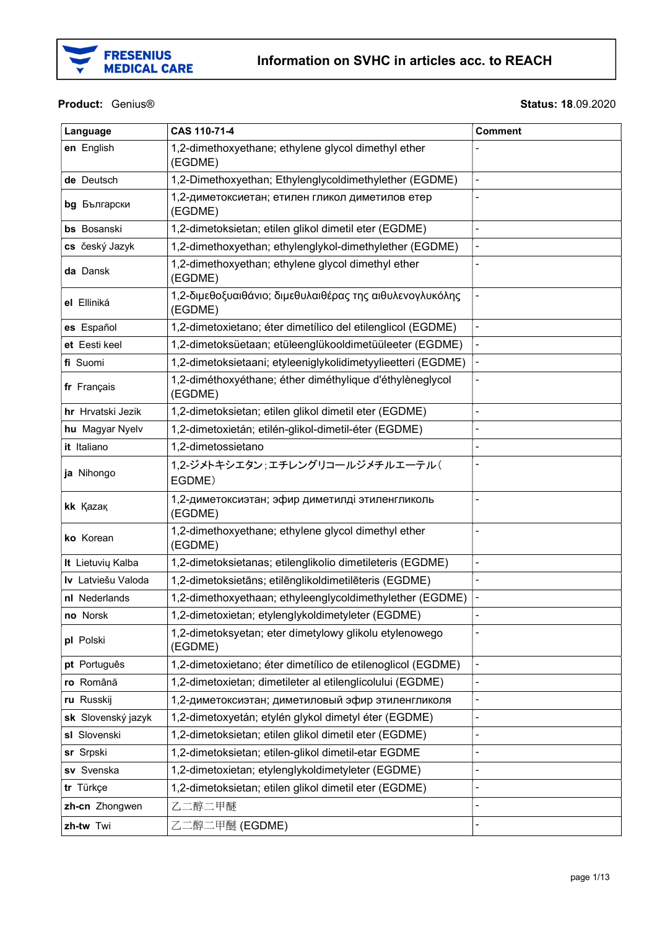

#### Product: Genius®

**Status: 18.09.2020** 

| Language           | CAS 110-71-4                                                        | <b>Comment</b> |
|--------------------|---------------------------------------------------------------------|----------------|
| en English         | 1,2-dimethoxyethane; ethylene glycol dimethyl ether<br>(EGDME)      |                |
| de Deutsch         | 1,2-Dimethoxyethan; Ethylenglycoldimethylether (EGDME)              |                |
| bg Български       | 1,2-диметоксиетан; етилен гликол диметилов етер<br>(EGDME)          |                |
| bs Bosanski        | 1,2-dimetoksietan; etilen glikol dimetil eter (EGDME)               |                |
| cs český Jazyk     | 1,2-dimethoxyethan; ethylenglykol-dimethylether (EGDME)             |                |
| da Dansk           | 1,2-dimethoxyethan; ethylene glycol dimethyl ether<br>(EGDME)       |                |
| el Elliniká        | 1,2-διμεθοξυαιθάνιο; διμεθυλαιθέρας της αιθυλενογλυκόλης<br>(EGDME) |                |
| es Español         | 1,2-dimetoxietano; éter dimetílico del etilenglicol (EGDME)         |                |
| et Eesti keel      | 1,2-dimetoksüetaan; etüleenglükooldimetüüleeter (EGDME)             |                |
| fi Suomi           | 1,2-dimetoksietaani; etyleeniglykolidimetyylieetteri (EGDME)        |                |
| fr Français        | 1,2-diméthoxyéthane; éther diméthylique d'éthylèneglycol<br>(EGDME) |                |
| hr Hrvatski Jezik  | 1,2-dimetoksietan; etilen glikol dimetil eter (EGDME)               |                |
| hu Magyar Nyelv    | 1,2-dimetoxietán; etilén-glikol-dimetil-éter (EGDME)                |                |
| it Italiano        | 1,2-dimetossietano                                                  |                |
| ja Nihongo         | 1,2-ジメトキシエタン;エチレングリコールジメチルエーテル(<br>EGDME)                           |                |
| kk Kazak           | 1,2-диметоксиэтан; эфир диметилді этиленгликоль<br>(EGDME)          |                |
| ko Korean          | 1,2-dimethoxyethane; ethylene glycol dimethyl ether<br>(EGDME)      |                |
| It Lietuvių Kalba  | 1,2-dimetoksietanas; etilenglikolio dimetileteris (EGDME)           |                |
| Iv Latviešu Valoda | 1,2-dimetoksietāns; etilēnglikoldimetilēteris (EGDME)               |                |
| nl Nederlands      | 1,2-dimethoxyethaan; ethyleenglycoldimethylether (EGDME)            |                |
| no Norsk           | 1,2-dimetoxietan; etylenglykoldimetyleter (EGDME)                   |                |
| pl Polski          | 1,2-dimetoksyetan; eter dimetylowy glikolu etylenowego<br>(EGDME)   |                |
| pt Português       | 1,2-dimetoxietano; éter dimetílico de etilenoglicol (EGDME)         |                |
| ro Română          | 1,2-dimetoxietan; dimetileter al etilenglicolului (EGDME)           |                |
| ru Russkij         | 1,2-диметоксиэтан; диметиловый эфир этиленгликоля                   |                |
| sk Slovenský jazyk | 1,2-dimetoxyetán; etylén glykol dimetyl éter (EGDME)                |                |
| sl Slovenski       | 1,2-dimetoksietan; etilen glikol dimetil eter (EGDME)               |                |
| sr Srpski          | 1,2-dimetoksietan; etilen-glikol dimetil-etar EGDME                 |                |
| sv Svenska         | 1,2-dimetoxietan; etylenglykoldimetyleter (EGDME)                   |                |
| tr Türkçe          | 1,2-dimetoksietan; etilen glikol dimetil eter (EGDME)               |                |
| zh-cn Zhongwen     | 乙二醇二甲醚                                                              |                |
| zh-tw Twi          | 乙二醇二甲醚 (EGDME)                                                      |                |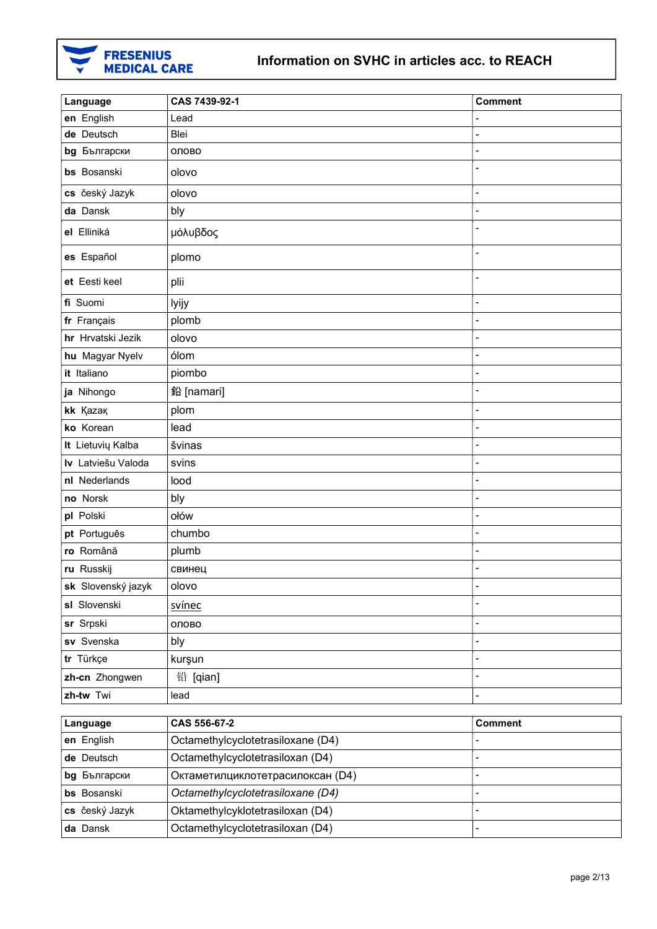

| Language           | CAS 7439-92-1                     | <b>Comment</b>               |
|--------------------|-----------------------------------|------------------------------|
| en English         | Lead                              |                              |
| de Deutsch         | <b>Blei</b>                       |                              |
| bg Български       | олово                             |                              |
| bs Bosanski        | olovo                             |                              |
| cs český Jazyk     | olovo                             | $\overline{a}$               |
| da Dansk           | bly                               |                              |
| el Elliniká        | μόλυβδος                          |                              |
| es Español         | plomo                             |                              |
| et Eesti keel      | plii                              | $\qquad \qquad \blacksquare$ |
| fi Suomi           | lyijy                             | $\overline{a}$               |
| fr Français        | plomb                             |                              |
| hr Hrvatski Jezik  | olovo                             | $\overline{a}$               |
| hu Magyar Nyelv    | ólom                              | $\overline{a}$               |
| it Italiano        | piombo                            | $\overline{a}$               |
| ja Nihongo         | 鉛 [namari]                        | $\overline{a}$               |
| kk Kazak           | plom                              | $\overline{a}$               |
| ko Korean          | lead                              |                              |
| It Lietuvių Kalba  | švinas                            | $\overline{a}$               |
| Iv Latviešu Valoda | svins                             | $\overline{a}$               |
| nl Nederlands      | lood                              |                              |
| no Norsk           | bly                               | $\overline{a}$               |
| pl Polski          | ołów                              | $\overline{a}$               |
| pt Português       | chumbo                            |                              |
| ro Română          | plumb                             | $\blacksquare$               |
| ru Russkij         | свинец                            | $\blacksquare$               |
| sk Slovenský jazyk | olovo                             |                              |
| sl Slovenski       | svínec                            | $\overline{a}$               |
| sr Srpski          | олово                             | $\overline{a}$               |
| sv Svenska         | bly                               | $\blacksquare$               |
| tr Türkçe          | kurşun                            | $\overline{a}$               |
| zh-cn Zhongwen     | 铅 [qian]                          | $\overline{a}$               |
| zh-tw Twi          | lead                              | $\blacksquare$               |
|                    |                                   |                              |
| Language           | CAS 556-67-2                      | <b>Comment</b>               |
| en English         | Octamethylcyclotetrasiloxane (D4) |                              |
| de Deutsch         | Octamethylcyclotetrasiloxan (D4)  | $\overline{a}$               |
| bg Български       | Октаметилциклотетрасилоксан (D4)  | $\overline{\phantom{a}}$     |
| bs Bosanski        | Octamethylcyclotetrasiloxane (D4) | $\qquad \qquad \blacksquare$ |

cs český Jazyk **Oktamethylcyklotetrasiloxan (D4)** da Dansk **Octamethylcyclotetrasiloxan (D4)** -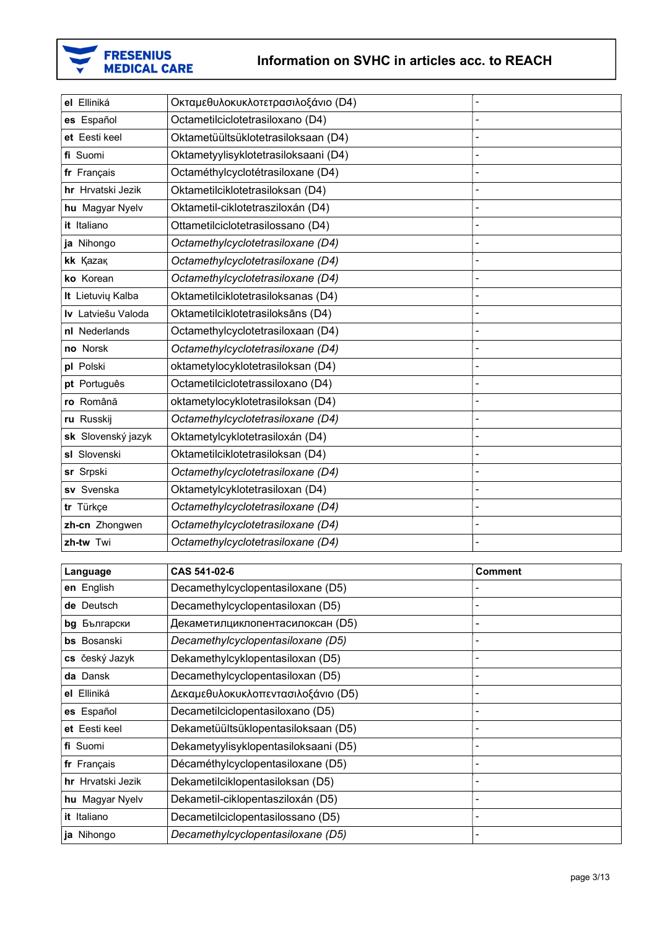

| el Elliniká        | Οκταμεθυλοκυκλοτετρασιλοξάνιο (D4)   |                |
|--------------------|--------------------------------------|----------------|
| es Español         | Octametilciclotetrasiloxano (D4)     |                |
| et Eesti keel      | Oktametüültsüklotetrasiloksaan (D4)  |                |
| fi Suomi           | Oktametyylisyklotetrasiloksaani (D4) | $\overline{a}$ |
| fr Français        | Octaméthylcyclotétrasiloxane (D4)    |                |
| hr Hrvatski Jezik  | Oktametilciklotetrasiloksan (D4)     |                |
| hu Magyar Nyelv    | Oktametil-ciklotetrasziloxán (D4)    |                |
| it Italiano        | Ottametilciclotetrasilossano (D4)    |                |
| ja Nihongo         | Octamethylcyclotetrasiloxane (D4)    |                |
| kk Kazak           | Octamethylcyclotetrasiloxane (D4)    |                |
| ko Korean          | Octamethylcyclotetrasiloxane (D4)    | $\overline{a}$ |
| It Lietuvių Kalba  | Oktametilciklotetrasiloksanas (D4)   |                |
| Iv Latviešu Valoda | Oktametilciklotetrasiloksāns (D4)    |                |
| nl Nederlands      | Octamethylcyclotetrasiloxaan (D4)    |                |
| no Norsk           | Octamethylcyclotetrasiloxane (D4)    |                |
| pl Polski          | oktametylocyklotetrasiloksan (D4)    |                |
| pt Português       | Octametilciclotetrassiloxano (D4)    |                |
| ro Română          | oktametylocyklotetrasiloksan (D4)    | $\overline{a}$ |
| ru Russkij         | Octamethylcyclotetrasiloxane (D4)    |                |
| sk Slovenský jazyk | Oktametylcyklotetrasiloxán (D4)      |                |
| sl Slovenski       | Oktametilciklotetrasiloksan (D4)     |                |
| sr Srpski          | Octamethylcyclotetrasiloxane (D4)    |                |
| sv Svenska         | Oktametylcyklotetrasiloxan (D4)      |                |
| tr Türkçe          | Octamethylcyclotetrasiloxane (D4)    |                |
| zh-cn Zhongwen     | Octamethylcyclotetrasiloxane (D4)    | $\overline{a}$ |
| zh-tw Twi          | Octamethylcyclotetrasiloxane (D4)    | $\blacksquare$ |

| Language          | CAS 541-02-6                         | <b>Comment</b>           |
|-------------------|--------------------------------------|--------------------------|
| en English        | Decamethylcyclopentasiloxane (D5)    |                          |
| de Deutsch        | Decamethylcyclopentasiloxan (D5)     |                          |
| bg Български      | Декаметилциклопентасилоксан (D5)     | ۰                        |
| Bosanski<br>bs    | Decamethylcyclopentasiloxane (D5)    |                          |
| cs český Jazyk    | Dekamethylcyklopentasiloxan (D5)     |                          |
| da Dansk          | Decamethylcyclopentasiloxan (D5)     | -                        |
| el Elliniká       | Δεκαμεθυλοκυκλοπεντασιλοξάνιο (D5)   |                          |
| es Español        | Decametilciclopentasiloxano (D5)     |                          |
| et Eesti keel     | Dekametüültsüklopentasiloksaan (D5)  | $\overline{\phantom{0}}$ |
| fi Suomi          | Dekametyylisyklopentasiloksaani (D5) |                          |
| fr Français       | Décaméthylcyclopentasiloxane (D5)    | -                        |
| hr Hrvatski Jezik | Dekametilciklopentasiloksan (D5)     |                          |
| hu Magyar Nyelv   | Dekametil-ciklopentasziloxán (D5)    |                          |
| it Italiano       | Decametilciclopentasilossano (D5)    | -                        |
| ja Nihongo        | Decamethylcyclopentasiloxane (D5)    |                          |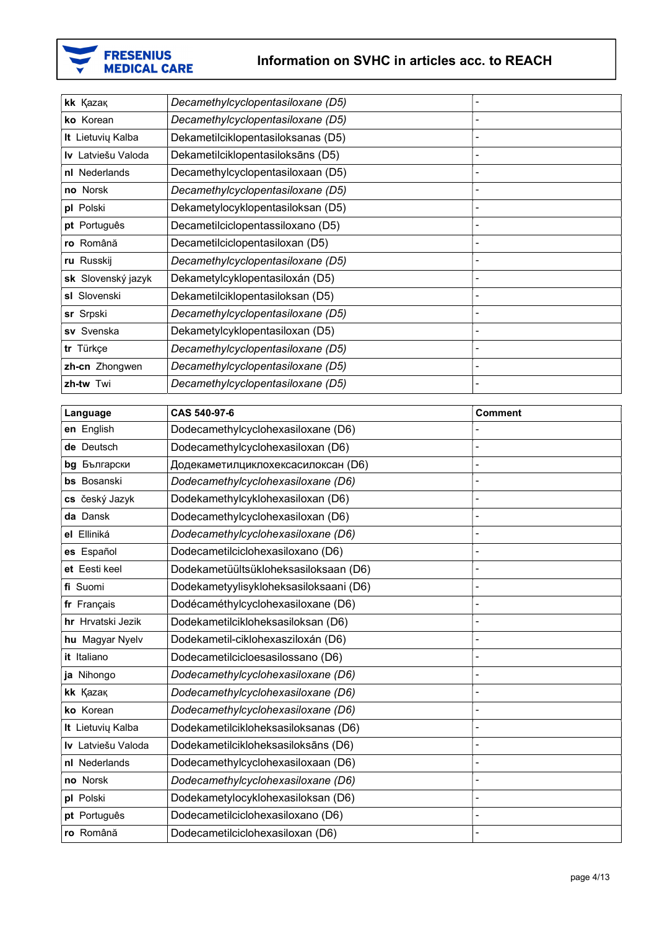

| kk Kazak                  | Decamethylcyclopentasiloxane (D5)  |  |
|---------------------------|------------------------------------|--|
| ko Korean                 | Decamethylcyclopentasiloxane (D5)  |  |
| It Lietuvių Kalba         | Dekametilciklopentasiloksanas (D5) |  |
| <b>Iv</b> Latviešu Valoda | Dekametilciklopentasiloksāns (D5)  |  |
| nl Nederlands             | Decamethylcyclopentasiloxaan (D5)  |  |
| no Norsk                  | Decamethylcyclopentasiloxane (D5)  |  |
| pl Polski                 | Dekametylocyklopentasiloksan (D5)  |  |
| pt Português              | Decametilciclopentassiloxano (D5)  |  |
| ro Română                 | Decametilciclopentasiloxan (D5)    |  |
| ru Russkij                | Decamethylcyclopentasiloxane (D5)  |  |
| sk Slovenský jazyk        | Dekametylcyklopentasiloxán (D5)    |  |
| sl Slovenski              | Dekametilciklopentasiloksan (D5)   |  |
| sr Srpski                 | Decamethylcyclopentasiloxane (D5)  |  |
| sv Svenska                | Dekametylcyklopentasiloxan (D5)    |  |
| tr Türkçe                 | Decamethylcyclopentasiloxane (D5)  |  |
| zh-cn Zhongwen            | Decamethylcyclopentasiloxane (D5)  |  |
| zh-tw Twi                 | Decamethylcyclopentasiloxane (D5)  |  |

| Language           | CAS 540-97-6                           | <b>Comment</b> |
|--------------------|----------------------------------------|----------------|
| en English         | Dodecamethylcyclohexasiloxane (D6)     |                |
| de Deutsch         | Dodecamethylcyclohexasiloxan (D6)      |                |
| bg Български       | Додекаметилциклохексасилоксан (D6)     |                |
| bs Bosanski        | Dodecamethylcyclohexasiloxane (D6)     |                |
| cs český Jazyk     | Dodekamethylcyklohexasiloxan (D6)      |                |
| da Dansk           | Dodecamethylcyclohexasiloxan (D6)      |                |
| el Elliniká        | Dodecamethylcyclohexasiloxane (D6)     |                |
| es Español         | Dodecametilciclohexasiloxano (D6)      |                |
| et Eesti keel      | Dodekametüültsükloheksasiloksaan (D6)  |                |
| fi Suomi           | Dodekametyylisykloheksasiloksaani (D6) |                |
| fr Français        | Dodécaméthylcyclohexasiloxane (D6)     |                |
| hr Hrvatski Jezik  | Dodekametilcikloheksasiloksan (D6)     |                |
| hu Magyar Nyelv    | Dodekametil-ciklohexasziloxán (D6)     |                |
| it Italiano        | Dodecametilcicloesasilossano (D6)      |                |
| ja Nihongo         | Dodecamethylcyclohexasiloxane (D6)     |                |
| kk Kazak           | Dodecamethylcyclohexasiloxane (D6)     |                |
| ko Korean          | Dodecamethylcyclohexasiloxane (D6)     |                |
| It Lietuvių Kalba  | Dodekametilcikloheksasiloksanas (D6)   |                |
| Iv Latviešu Valoda | Dodekametilcikloheksasiloksāns (D6)    |                |
| nl Nederlands      | Dodecamethylcyclohexasiloxaan (D6)     |                |
| no Norsk           | Dodecamethylcyclohexasiloxane (D6)     |                |
| pl Polski          | Dodekametylocyklohexasiloksan (D6)     |                |
| pt Português       | Dodecametilciclohexasiloxano (D6)      |                |
| ro Română          | Dodecametilciclohexasiloxan (D6)       |                |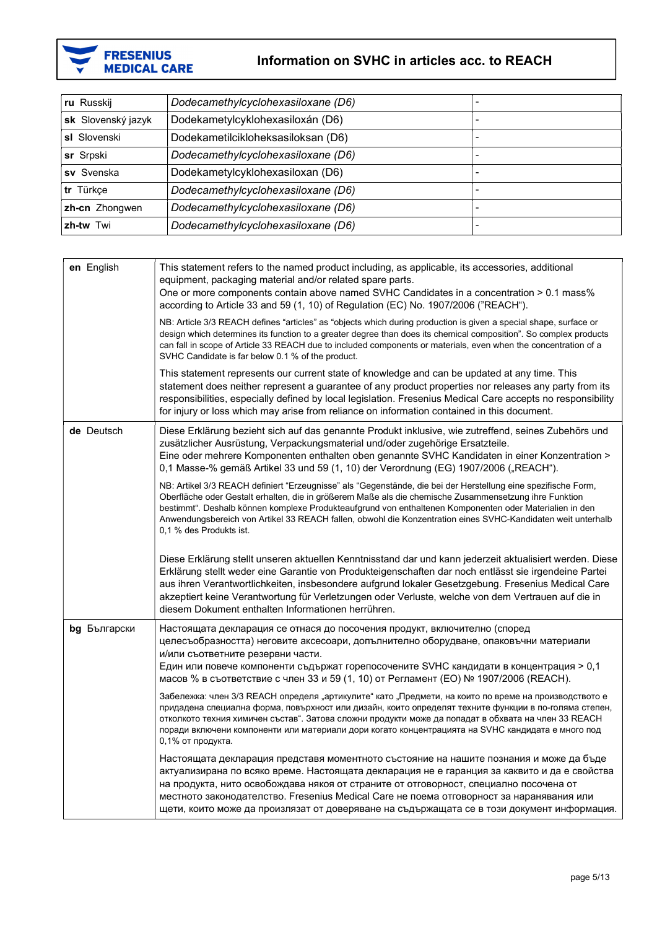

| ru Russkij         | Dodecamethylcyclohexasiloxane (D6) |                          |
|--------------------|------------------------------------|--------------------------|
| sk Slovenský jazyk | Dodekametylcyklohexasiloxán (D6)   |                          |
| sl Slovenski       | Dodekametilcikloheksasiloksan (D6) | -                        |
| sr Srpski          | Dodecamethylcyclohexasiloxane (D6) | -                        |
| sv Svenska         | Dodekametylcyklohexasiloxan (D6)   | -                        |
| tr Türkçe          | Dodecamethylcyclohexasiloxane (D6) |                          |
| zh-cn Zhongwen     | Dodecamethylcyclohexasiloxane (D6) | $\overline{\phantom{0}}$ |
| zh-tw Twi          | Dodecamethylcyclohexasiloxane (D6) | ۰                        |

| en English   | This statement refers to the named product including, as applicable, its accessories, additional<br>equipment, packaging material and/or related spare parts.<br>One or more components contain above named SVHC Candidates in a concentration > 0.1 mass%<br>according to Article 33 and 59 $(1, 10)$ of Regulation (EC) No. 1907/2006 ("REACH").                                                                                                                                  |
|--------------|-------------------------------------------------------------------------------------------------------------------------------------------------------------------------------------------------------------------------------------------------------------------------------------------------------------------------------------------------------------------------------------------------------------------------------------------------------------------------------------|
|              | NB: Article 3/3 REACH defines "articles" as "objects which during production is given a special shape, surface or<br>design which determines its function to a greater degree than does its chemical composition". So complex products<br>can fall in scope of Article 33 REACH due to included components or materials, even when the concentration of a<br>SVHC Candidate is far below 0.1 % of the product.                                                                      |
|              | This statement represents our current state of knowledge and can be updated at any time. This<br>statement does neither represent a guarantee of any product properties nor releases any party from its<br>responsibilities, especially defined by local legislation. Fresenius Medical Care accepts no responsibility<br>for injury or loss which may arise from reliance on information contained in this document.                                                               |
| de Deutsch   | Diese Erklärung bezieht sich auf das genannte Produkt inklusive, wie zutreffend, seines Zubehörs und<br>zusätzlicher Ausrüstung, Verpackungsmaterial und/oder zugehörige Ersatzteile.<br>Eine oder mehrere Komponenten enthalten oben genannte SVHC Kandidaten in einer Konzentration ><br>0,1 Masse-% gemäß Artikel 33 und 59 (1, 10) der Verordnung (EG) 1907/2006 ("REACH").                                                                                                     |
|              | NB: Artikel 3/3 REACH definiert "Erzeugnisse" als "Gegenstände, die bei der Herstellung eine spezifische Form,<br>Oberfläche oder Gestalt erhalten, die in größerem Maße als die chemische Zusammensetzung ihre Funktion<br>bestimmt". Deshalb können komplexe Produkteaufgrund von enthaltenen Komponenten oder Materialien in den<br>Anwendungsbereich von Artikel 33 REACH fallen, obwohl die Konzentration eines SVHC-Kandidaten weit unterhalb<br>0,1 % des Produkts ist.      |
|              | Diese Erklärung stellt unseren aktuellen Kenntnisstand dar und kann jederzeit aktualisiert werden. Diese<br>Erklärung stellt weder eine Garantie von Produkteigenschaften dar noch entlässt sie irgendeine Partei<br>aus ihren Verantwortlichkeiten, insbesondere aufgrund lokaler Gesetzgebung. Fresenius Medical Care<br>akzeptiert keine Verantwortung für Verletzungen oder Verluste, welche von dem Vertrauen auf die in<br>diesem Dokument enthalten Informationen herrühren. |
| bg Български | Настоящата декларация се отнася до посочения продукт, включително (според<br>целесъобразността) неговите аксесоари, допълнително оборудване, опаковъчни материали<br>и/или съответните резервни части.<br>Един или повече компоненти съдържат горепосочените SVHC кандидати в концентрация > 0,1<br>масов % в съответствие с член 33 и 59 (1, 10) от Регламент (ЕО) № 1907/2006 (REACH).                                                                                            |
|              | Забележка: член 3/3 REACH определя "артикулите" като "Предмети, на които по време на производството е<br>придадена специална форма, повърхност или дизайн, които определят техните функции в по-голяма степен,<br>отколкото техния химичен състав". Затова сложни продукти може да попадат в обхвата на член 33 REACH<br>поради включени компоненти или материали дори когато концентрацията на SVHC кандидата е много под<br>0,1% от продукта.                                     |
|              | Настоящата декларация представя моментното състояние на нашите познания и може да бъде<br>актуализирана по всяко време. Настоящата декларация не е гаранция за каквито и да е свойства<br>на продукта, нито освобождава някоя от страните от отговорност, специално посочена от<br>местното законодателство. Fresenius Medical Care не поема отговорност за наранявания или<br>щети, които може да произлязат от доверяване на съдържащата се в този документ информация.           |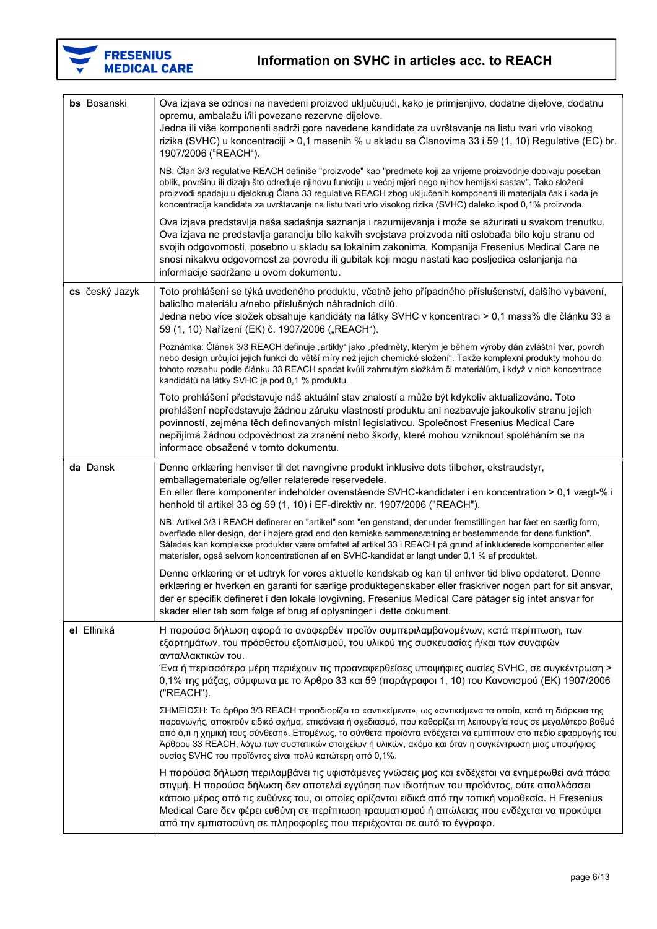

| <b>bs</b> Bosanski | Ova izjava se odnosi na navedeni proizvod uključujući, kako je primjenjivo, dodatne dijelove, dodatnu<br>opremu, ambalažu i/ili povezane rezervne dijelove.<br>Jedna ili više komponenti sadrži gore navedene kandidate za uvrštavanje na listu tvari vrlo visokog<br>rizika (SVHC) u koncentraciji > 0,1 masenih % u skladu sa Članovima 33 i 59 (1, 10) Regulative (EC) br.<br>1907/2006 ("REACH").                                                                                                           |
|--------------------|-----------------------------------------------------------------------------------------------------------------------------------------------------------------------------------------------------------------------------------------------------------------------------------------------------------------------------------------------------------------------------------------------------------------------------------------------------------------------------------------------------------------|
|                    | NB: Član 3/3 regulative REACH definiše "proizvode" kao "predmete koji za vrijeme proizvodnje dobivaju poseban<br>oblik, površinu ili dizajn što određuje njihovu funkciju u većoj mjeri nego njihov hemijski sastav". Tako složeni<br>proizvodi spadaju u djelokrug Člana 33 regulative REACH zbog uključenih komponenti ili materijala čak i kada je<br>koncentracija kandidata za uvrštavanje na listu tvari vrlo visokog rizika (SVHC) daleko ispod 0,1% proizvoda.                                          |
|                    | Ova izjava predstavlja naša sadašnja saznanja i razumijevanja i može se ažurirati u svakom trenutku.<br>Ova izjava ne predstavlja garanciju bilo kakvih svojstava proizvoda niti oslobađa bilo koju stranu od<br>svojih odgovornosti, posebno u skladu sa lokalnim zakonima. Kompanija Fresenius Medical Care ne<br>snosi nikakvu odgovornost za povredu ili gubitak koji mogu nastati kao posljedica oslanjanja na<br>informacije sadržane u ovom dokumentu.                                                   |
| cs český Jazyk     | Toto prohlášení se týká uvedeného produktu, včetně jeho případného příslušenství, dalšího vybavení,<br>balicího materiálu a/nebo příslušných náhradních dílů.<br>Jedna nebo více složek obsahuje kandidáty na látky SVHC v koncentraci > 0,1 mass% dle článku 33 a<br>59 (1, 10) Nařízení (EK) č. 1907/2006 ("REACH").                                                                                                                                                                                          |
|                    | Poznámka: Článek 3/3 REACH definuje "artikly" jako "předměty, kterým je během výroby dán zvláštní tvar, povrch<br>nebo design určující jejich funkci do větší míry než jejich chemické složení". Takže komplexní produkty mohou do<br>tohoto rozsahu podle článku 33 REACH spadat kvůli zahrnutým složkám či materiálům, i když v nich koncentrace<br>kandidátů na látky SVHC je pod 0,1 % produktu.                                                                                                            |
|                    | Toto prohlášení představuje náš aktuální stav znalostí a může být kdykoliv aktualizováno. Toto<br>prohlášení nepředstavuje žádnou záruku vlastností produktu ani nezbavuje jakoukoliv stranu jejích<br>povinností, zejména těch definovaných místní legislativou. Společnost Fresenius Medical Care<br>nepřijímá žádnou odpovědnost za zranění nebo škody, které mohou vzniknout spoléháním se na<br>informace obsažené v tomto dokumentu.                                                                      |
| da Dansk           | Denne erklæring henviser til det navngivne produkt inklusive dets tilbehør, ekstraudstyr,<br>emballagemateriale og/eller relaterede reservedele.<br>En eller flere komponenter indeholder ovenstående SVHC-kandidater i en koncentration > 0,1 vægt-% i<br>henhold til artikel 33 og 59 (1, 10) i EF-direktiv nr. 1907/2006 ("REACH").                                                                                                                                                                          |
|                    | NB: Artikel 3/3 i REACH definerer en "artikel" som "en genstand, der under fremstillingen har fået en særlig form,<br>overflade eller design, der i højere grad end den kemiske sammensætning er bestemmende for dens funktion".<br>Således kan komplekse produkter være omfattet af artikel 33 i REACH på grund af inkluderede komponenter eller<br>materialer, også selvom koncentrationen af en SVHC-kandidat er langt under 0,1 % af produktet.                                                             |
|                    | Denne erklæring er et udtryk for vores aktuelle kendskab og kan til enhver tid blive opdateret. Denne<br>erklæring er hverken en garanti for særlige produktegenskaber eller fraskriver nogen part for sit ansvar,<br>der er specifik defineret i den lokale lovgivning. Fresenius Medical Care påtager sig intet ansvar for<br>skader eller tab som følge af brug af oplysninger i dette dokument.                                                                                                             |
| el Elliniká        | Η παρούσα δήλωση αφορά το αναφερθέν προϊόν συμπεριλαμβανομένων, κατά περίπτωση, των<br>εξαρτημάτων, του πρόσθετου εξοπλισμού, του υλικού της συσκευασίας ή/και των συναφών<br>ανταλλακτικών του.<br>Ένα ή περισσότερα μέρη περιέχουν τις προαναφερθείσες υποψήφιες ουσίες SVHC, σε συγκέντρωση ><br>0,1% της μάζας, σύμφωνα με το Άρθρο 33 και 59 (παράγραφοι 1, 10) του Κανονισμού (ΕΚ) 1907/2006<br>("REACH").                                                                                                |
|                    | ΣΗΜΕΙΩΣΗ: Το άρθρο 3/3 REACH προσδιορίζει τα «αντικείμενα», ως «αντικείμενα τα οποία, κατά τη διάρκεια της<br>παραγωγής, αποκτούν ειδικό σχήμα, επιφάνεια ή σχεδιασμό, που καθορίζει τη λειτουργία τους σε μεγαλύτερο βαθμό<br>από ό,τι η χημική τους σύνθεση». Επομένως, τα σύνθετα προϊόντα ενδέχεται να εμπίπτουν στο πεδίο εφαρμογής του<br>Άρθρου 33 REACH, λόγω των συστατικών στοιχείων ή υλικών, ακόμα και όταν η συγκέντρωση μιας υποψήφιας<br>ουσίας SVHC του προϊόντος είναι πολύ κατώτερη από 0,1%. |
|                    | Η παρούσα δήλωση περιλαμβάνει τις υφιστάμενες γνώσεις μας και ενδέχεται να ενημερωθεί ανά πάσα<br>στιγμή. Η παρούσα δήλωση δεν αποτελεί εγγύηση των ιδιοτήτων του προϊόντος, ούτε απαλλάσσει<br>κάποιο μέρος από τις ευθύνες του, οι οποίες ορίζονται ειδικά από την τοπική νομοθεσία. Η Fresenius<br>Medical Care δεν φέρει ευθύνη σε περίπτωση τραυματισμού ή απώλειας που ενδέχεται να προκύψει<br>από την εμπιστοσύνη σε πληροφορίες που περιέχονται σε αυτό το έγγραφο.                                    |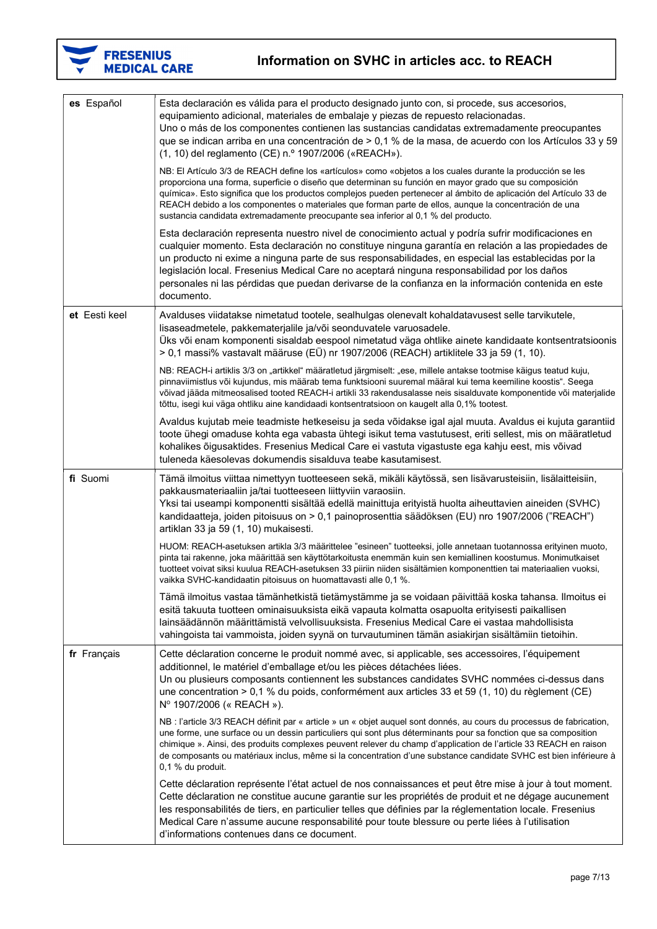

| es Español    | Esta declaración es válida para el producto designado junto con, si procede, sus accesorios,<br>equipamiento adicional, materiales de embalaje y piezas de repuesto relacionadas.<br>Uno o más de los componentes contienen las sustancias candidatas extremadamente preocupantes<br>que se indican arriba en una concentración de > 0,1 % de la masa, de acuerdo con los Artículos 33 y 59<br>(1, 10) del reglamento (CE) n.º 1907/2006 («REACH»).<br>NB: El Artículo 3/3 de REACH define los «artículos» como «objetos a los cuales durante la producción se les<br>proporciona una forma, superficie o diseño que determinan su función en mayor grado que su composición |
|---------------|------------------------------------------------------------------------------------------------------------------------------------------------------------------------------------------------------------------------------------------------------------------------------------------------------------------------------------------------------------------------------------------------------------------------------------------------------------------------------------------------------------------------------------------------------------------------------------------------------------------------------------------------------------------------------|
|               | química». Esto significa que los productos complejos pueden pertenecer al ámbito de aplicación del Artículo 33 de<br>REACH debido a los componentes o materiales que forman parte de ellos, aunque la concentración de una<br>sustancia candidata extremadamente preocupante sea inferior al 0,1 % del producto.                                                                                                                                                                                                                                                                                                                                                             |
|               | Esta declaración representa nuestro nivel de conocimiento actual y podría sufrir modificaciones en<br>cualquier momento. Esta declaración no constituye ninguna garantía en relación a las propiedades de<br>un producto ni exime a ninguna parte de sus responsabilidades, en especial las establecidas por la<br>legislación local. Fresenius Medical Care no aceptará ninguna responsabilidad por los daños<br>personales ni las pérdidas que puedan derivarse de la confianza en la información contenida en este<br>documento.                                                                                                                                          |
| et Eesti keel | Avalduses viidatakse nimetatud tootele, sealhulgas olenevalt kohaldatavusest selle tarvikutele,<br>lisaseadmetele, pakkematerjalile ja/või seonduvatele varuosadele.<br>Üks või enam komponenti sisaldab eespool nimetatud väga ohtlike ainete kandidaate kontsentratsioonis<br>> 0,1 massi% vastavalt määruse (EÜ) nr 1907/2006 (REACH) artiklitele 33 ja 59 (1, 10).                                                                                                                                                                                                                                                                                                       |
|               | NB: REACH-i artiklis 3/3 on "artikkel" määratletud järgmiselt: "ese, millele antakse tootmise käigus teatud kuju,<br>pinnaviimistlus või kujundus, mis määrab tema funktsiooni suuremal määral kui tema keemiline koostis". Seega<br>võivad jääda mitmeosalised tooted REACH-i artikli 33 rakendusalasse neis sisalduvate komponentide või materjalide<br>tõttu, isegi kui väga ohtliku aine kandidaadi kontsentratsioon on kaugelt alla 0,1% tootest.                                                                                                                                                                                                                       |
|               | Avaldus kujutab meie teadmiste hetkeseisu ja seda võidakse igal ajal muuta. Avaldus ei kujuta garantiid<br>toote ühegi omaduse kohta ega vabasta ühtegi isikut tema vastutusest, eriti sellest, mis on määratletud<br>kohalikes õigusaktides. Fresenius Medical Care ei vastuta vigastuste ega kahju eest, mis võivad<br>tuleneda käesolevas dokumendis sisalduva teabe kasutamisest.                                                                                                                                                                                                                                                                                        |
| fi Suomi      | Tämä ilmoitus viittaa nimettyyn tuotteeseen sekä, mikäli käytössä, sen lisävarusteisiin, lisälaitteisiin,<br>pakkausmateriaaliin ja/tai tuotteeseen liittyviin varaosiin.<br>Yksi tai useampi komponentti sisältää edellä mainittuja erityistä huolta aiheuttavien aineiden (SVHC)<br>kandidaatteja, joiden pitoisuus on > 0,1 painoprosenttia säädöksen (EU) nro 1907/2006 ("REACH")<br>artiklan 33 ja 59 (1, 10) mukaisesti.                                                                                                                                                                                                                                               |
|               | HUOM: REACH-asetuksen artikla 3/3 määrittelee "esineen" tuotteeksi, jolle annetaan tuotannossa erityinen muoto,<br>pinta tai rakenne, joka määrittää sen käyttötarkoitusta enemmän kuin sen kemiallinen koostumus. Monimutkaiset<br>tuotteet voivat siksi kuulua REACH-asetuksen 33 piiriin niiden sisältämien komponenttien tai materiaalien vuoksi,<br>vaikka SVHC-kandidaatin pitoisuus on huomattavasti alle 0,1 %.                                                                                                                                                                                                                                                      |
|               | Tämä ilmoitus vastaa tämänhetkistä tietämystämme ja se voidaan päivittää koska tahansa. Ilmoitus ei<br>esitä takuuta tuotteen ominaisuuksista eikä vapauta kolmatta osapuolta erityisesti paikallisen<br>lainsäädännön määrittämistä velvollisuuksista. Fresenius Medical Care ei vastaa mahdollisista<br>vahingoista tai vammoista, joiden syynä on turvautuminen tämän asiakirjan sisältämiin tietoihin.                                                                                                                                                                                                                                                                   |
| fr Français   | Cette déclaration concerne le produit nommé avec, si applicable, ses accessoires, l'équipement<br>additionnel, le matériel d'emballage et/ou les pièces détachées liées.<br>Un ou plusieurs composants contiennent les substances candidates SVHC nommées ci-dessus dans<br>une concentration > 0,1 % du poids, conformément aux articles 33 et 59 (1, 10) du règlement (CE)<br>Nº 1907/2006 (« REACH »).                                                                                                                                                                                                                                                                    |
|               | NB : l'article 3/3 REACH définit par « article » un « objet auquel sont donnés, au cours du processus de fabrication,<br>une forme, une surface ou un dessin particuliers qui sont plus déterminants pour sa fonction que sa composition<br>chimique ». Ainsi, des produits complexes peuvent relever du champ d'application de l'article 33 REACH en raison<br>de composants ou matériaux inclus, même si la concentration d'une substance candidate SVHC est bien inférieure à<br>$0,1\%$ du produit.                                                                                                                                                                      |
|               | Cette déclaration représente l'état actuel de nos connaissances et peut être mise à jour à tout moment.<br>Cette déclaration ne constitue aucune garantie sur les propriétés de produit et ne dégage aucunement<br>les responsabilités de tiers, en particulier telles que définies par la réglementation locale. Fresenius<br>Medical Care n'assume aucune responsabilité pour toute blessure ou perte liées à l'utilisation<br>d'informations contenues dans ce document.                                                                                                                                                                                                  |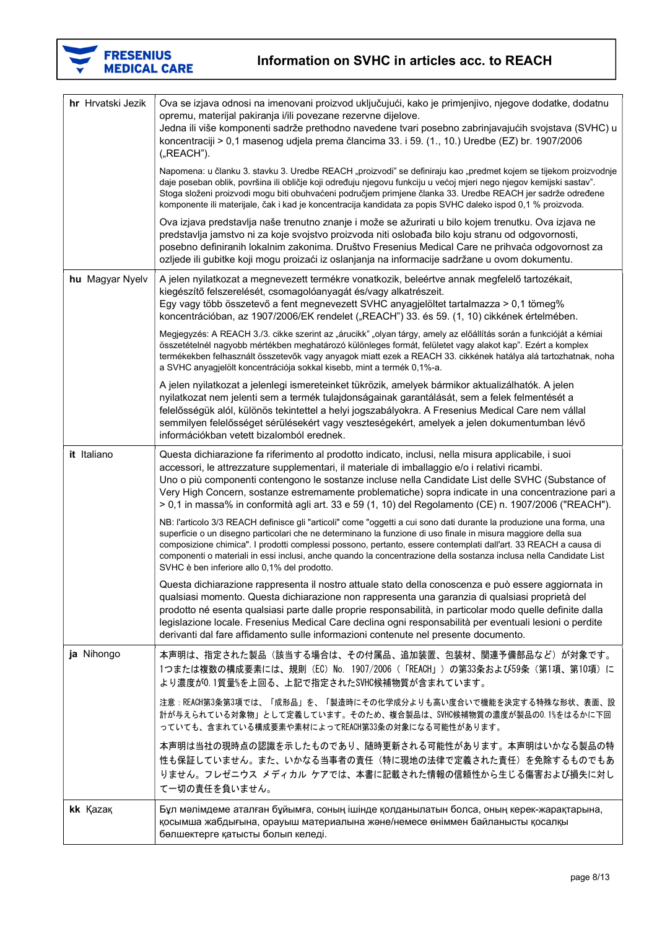

| hr Hrvatski Jezik | Ova se izjava odnosi na imenovani proizvod uključujući, kako je primjenjivo, njegove dodatke, dodatnu<br>opremu, materijal pakiranja i/ili povezane rezervne dijelove.<br>Jedna ili više komponenti sadrže prethodno navedene tvari posebno zabrinjavajućih svojstava (SVHC) u<br>koncentraciji > 0,1 masenog udjela prema člancima 33. i 59. (1., 10.) Uredbe (EZ) br. 1907/2006<br>("REACH").                                                                                                                                |
|-------------------|--------------------------------------------------------------------------------------------------------------------------------------------------------------------------------------------------------------------------------------------------------------------------------------------------------------------------------------------------------------------------------------------------------------------------------------------------------------------------------------------------------------------------------|
|                   | Napomena: u članku 3. stavku 3. Uredbe REACH "proizvodi" se definiraju kao "predmet kojem se tijekom proizvodnje<br>daje poseban oblik, površina ili obličje koji određuju njegovu funkciju u većoj mjeri nego njegov kemijski sastav".<br>Stoga složeni proizvodi mogu biti obuhvaćeni područjem primjene članka 33. Uredbe REACH jer sadrže određene<br>komponente ili materijale, čak i kad je koncentracija kandidata za popis SVHC daleko ispod 0,1 % proizvoda.                                                          |
|                   | Ova izjava predstavlja naše trenutno znanje i može se ažurirati u bilo kojem trenutku. Ova izjava ne<br>predstavlja jamstvo ni za koje svojstvo proizvoda niti oslobađa bilo koju stranu od odgovornosti,<br>posebno definiranih lokalnim zakonima. Društvo Fresenius Medical Care ne prihvaća odgovornost za<br>ozljede ili gubitke koji mogu proizaći iz oslanjanja na informacije sadržane u ovom dokumentu.                                                                                                                |
| hu Magyar Nyelv   | A jelen nyilatkozat a megnevezett termékre vonatkozik, beleértve annak megfelelő tartozékait,<br>kiegészítő felszerelését, csomagolóanyagát és/vagy alkatrészeit.<br>Egy vagy több összetevő a fent megnevezett SVHC anyagjelöltet tartalmazza > 0,1 tömeg%<br>koncentrációban, az 1907/2006/EK rendelet ("REACH") 33. és 59. (1, 10) cikkének értelmében.                                                                                                                                                                     |
|                   | Megjegyzés: A REACH 3./3. cikke szerint az "árucikk" "olyan tárgy, amely az előállítás során a funkcióját a kémiai<br>összetételnél nagyobb mértékben meghatározó különleges formát, felületet vagy alakot kap". Ezért a komplex<br>termékekben felhasznált összetevők vagy anyagok miatt ezek a REACH 33. cikkének hatálya alá tartozhatnak, noha<br>a SVHC anyagjelölt koncentrációja sokkal kisebb, mint a termék 0,1%-a.                                                                                                   |
|                   | A jelen nyilatkozat a jelenlegi ismereteinket tükrözik, amelyek bármikor aktualizálhatók. A jelen<br>nyilatkozat nem jelenti sem a termék tulajdonságainak garantálását, sem a felek felmentését a<br>felelősségük alól, különös tekintettel a helyi jogszabályokra. A Fresenius Medical Care nem vállal<br>semmilyen felelősséget sérülésekért vagy veszteségekért, amelyek a jelen dokumentumban lévő<br>információkban vetett bizalomból erednek.                                                                           |
| it Italiano       | Questa dichiarazione fa riferimento al prodotto indicato, inclusi, nella misura applicabile, i suoi<br>accessori, le attrezzature supplementari, il materiale di imballaggio e/o i relativi ricambi.<br>Uno o più componenti contengono le sostanze incluse nella Candidate List delle SVHC (Substance of<br>Very High Concern, sostanze estremamente problematiche) sopra indicate in una concentrazione pari a<br>$> 0.1$ in massa% in conformità agli art. 33 e 59 (1, 10) del Regolamento (CE) n. 1907/2006 ("REACH").     |
|                   | NB: l'articolo 3/3 REACH definisce gli "articoli" come "oggetti a cui sono dati durante la produzione una forma, una<br>superficie o un disegno particolari che ne determinano la funzione di uso finale in misura maggiore della sua<br>composizione chimica". I prodotti complessi possono, pertanto, essere contemplati dall'art. 33 REACH a causa di<br>componenti o materiali in essi inclusi, anche quando la concentrazione della sostanza inclusa nella Candidate List<br>SVHC è ben inferiore allo 0,1% del prodotto. |
|                   | Questa dichiarazione rappresenta il nostro attuale stato della conoscenza e può essere aggiornata in<br>qualsiasi momento. Questa dichiarazione non rappresenta una garanzia di qualsiasi proprietà del<br>prodotto né esenta qualsiasi parte dalle proprie responsabilità, in particolar modo quelle definite dalla<br>legislazione locale. Fresenius Medical Care declina ogni responsabilità per eventuali lesioni o perdite<br>derivanti dal fare affidamento sulle informazioni contenute nel presente documento.         |
| ja Nihongo        | 本声明は、指定された製品(該当する場合は、その付属品、追加装置、包装材、関連予備部品など)が対象です。<br>1つまたは複数の構成要素には、規則 (EC) No. 1907/2006 (「REACH」) の第33条および59条 (第1項、第10項) に<br>より濃度が0.1質量%を上回る、上記で指定されたSVHC候補物質が含まれています。                                                                                                                                                                                                                                                                                                                                                    |
|                   | 注意:REACH第3条第3項では、「成形品」を、「製造時にその化学成分よりも高い度合いで機能を決定する特殊な形状、表面、設<br>計が与えられている対象物」として定義しています。そのため、複合製品は、SVHC候補物質の濃度が製品の0.1%をはるかに下回<br>っていても、含まれている構成要素や素材によってREACH第33条の対象になる可能性があります。                                                                                                                                                                                                                                                                                                                                              |
|                   | 本声明は当社の現時点の認識を示したものであり、随時更新される可能性があります。本声明はいかなる製品の特<br>性も保証していません。また、いかなる当事者の責任(特に現地の法律で定義された責任)を免除するものでもあ<br>りません。フレゼニウス メディカル ケアでは、本書に記載された情報の信頼性から生じる傷害および損失に対し<br>て一切の責任を負いません。                                                                                                                                                                                                                                                                                                                                            |
| kk Kazak          | Бұл мәлімдеме аталған бұйымға, соның ішінде қолданылатын болса, оның керек-жарақтарына,<br>қосымша жабдығына, орауыш материалына және/немесе өніммен байланысты қосалқы<br>бөлшектерге қатысты болып келеді.                                                                                                                                                                                                                                                                                                                   |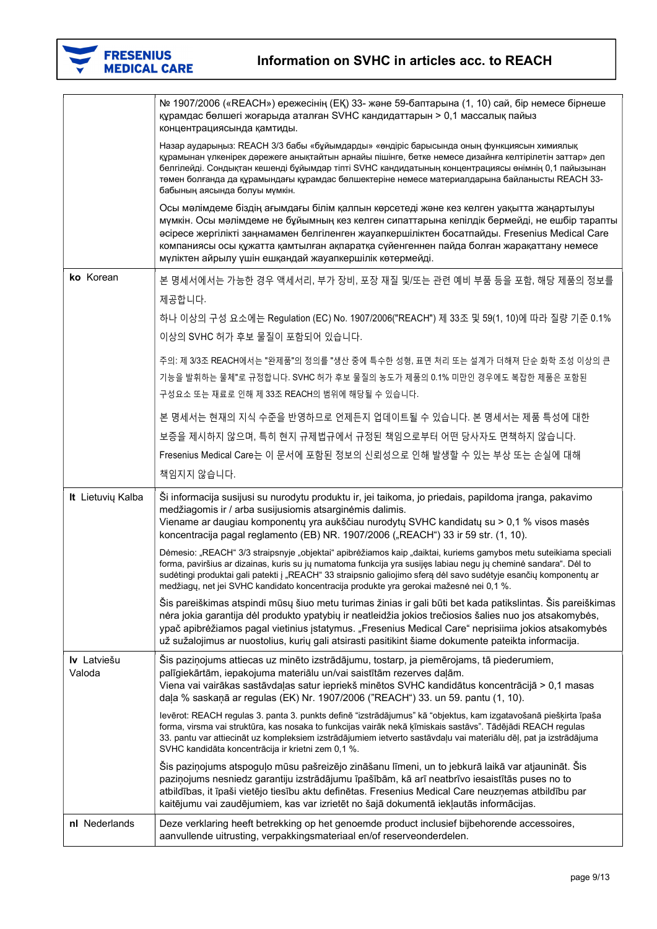| <b>FRESENIUS</b><br><b>MEDICAL CARE</b> | Information on SVHC in articles acc. to REACH                                                                                                                                                                                                                                                                                                                                                                                                     |
|-----------------------------------------|---------------------------------------------------------------------------------------------------------------------------------------------------------------------------------------------------------------------------------------------------------------------------------------------------------------------------------------------------------------------------------------------------------------------------------------------------|
|                                         | № 1907/2006 («REACH») ережесінің (ЕҚ) 33- және 59-баптарына (1, 10) сай, бір немесе бірнеше<br>құрамдас бөлшегі жоғарыда аталған SVHC кандидаттарын > 0,1 массалық пайыз<br>концентрациясында қамтиды.                                                                                                                                                                                                                                            |
|                                         | Назар аударыңыз: REACH 3/3 бабы «бұйымдарды» «өндіріс барысында оның функциясын химиялық<br>құрамынан үлкенірек дәрежеге анықтайтын арнайы пішінге, бетке немесе дизайнға келтірілетін заттар» деп<br>белгілейді. Сондықтан кешенді бұйымдар тіпті SVHC кандидатының концентрациясы өнімнің 0,1 пайызынан<br>төмен болғанда да құрамындағы құрамдас бөлшектеріне немесе материалдарына байланысты REACH 33-<br>бабының аясында болуы мүмкін.      |
|                                         | Осы мәлімдеме біздің ағымдағы білім қалпын көрсетеді және кез келген уақытта жаңартылуы<br>мүмкін. Осы мәлімдеме не бұйымның кез келген сипаттарына кепілдік бермейді, не ешбір тарапты<br>әсіресе жергілікті заңнамамен белгіленген жауапкершіліктен босатпайды. Fresenius Medical Care<br>компаниясы осы құжатта қамтылған ақпаратқа сүйенгеннен пайда болған жарақаттану немесе<br>мүліктен айрылу үшін ешқандай жауапкершілік көтермейді.     |
| ko Korean                               | 본 명세서에서는 가능한 경우 액세서리, 부가 장비, 포장 재질 및/또는 관련 예비 부품 등을 포함, 해당 제품의 정보를                                                                                                                                                                                                                                                                                                                                                                                |
|                                         | 제공합니다.                                                                                                                                                                                                                                                                                                                                                                                                                                            |
|                                         | 하나 이상의 구성 요소에는 Regulation (EC) No. 1907/2006("REACH") 제 33조 및 59(1, 10)에 따라 질량 기준 0.1%                                                                                                                                                                                                                                                                                                                                                            |
|                                         | 이상의 SVHC 허가 후보 물질이 포함되어 있습니다.                                                                                                                                                                                                                                                                                                                                                                                                                     |
|                                         | 주의: 제 3/3조 REACH에서는 "완제품"의 정의를 "생산 중에 특수한 성형, 표면 처리 또는 설계가 더해져 단순 화학 조성 이상의 큰                                                                                                                                                                                                                                                                                                                                                                     |
|                                         | 기능을 발휘하는 물체"로 규정합니다. SVHC 허가 후보 물질의 농도가 제품의 0.1% 미만인 경우에도 복잡한 제품은 포함된                                                                                                                                                                                                                                                                                                                                                                             |
|                                         | 구성요소 또는 재료로 인해 제 33조 REACH의 범위에 해당될 수 있습니다.                                                                                                                                                                                                                                                                                                                                                                                                       |
|                                         | 본 명세서는 현재의 지식 수준을 반영하므로 언제든지 업데이트될 수 있습니다. 본 명세서는 제품 특성에 대한                                                                                                                                                                                                                                                                                                                                                                                       |
|                                         | 보증을 제시하지 않으며, 특히 현지 규제법규에서 규정된 책임으로부터 어떤 당사자도 면책하지 않습니다.                                                                                                                                                                                                                                                                                                                                                                                          |
|                                         | Fresenius Medical Care는 이 문서에 포함된 정보의 신뢰성으로 인해 발생할 수 있는 부상 또는 손실에 대해                                                                                                                                                                                                                                                                                                                                                                              |
|                                         | 책임지지 않습니다.                                                                                                                                                                                                                                                                                                                                                                                                                                        |
| It Lietuvių Kalba                       | Ši informacija susijusi su nurodytu produktu ir, jei taikoma, jo priedais, papildoma įranga, pakavimo<br>medžiagomis ir / arba susijusiomis atsarginėmis dalimis.<br>Viename ar daugiau komponentų yra aukščiau nurodytų SVHC kandidatų su > 0,1 % visos masės<br>koncentracija pagal reglamento (EB) NR. 1907/2006 ("REACH") 33 ir 59 str. (1, 10).                                                                                              |
|                                         | Dėmesio: "REACH" 3/3 straipsnyje "objektai" apibrėžiamos kaip "daiktai, kuriems gamybos metu suteikiama speciali<br>forma, paviršius ar dizainas, kuris su jų numatoma funkcija yra susijęs labiau negu jų cheminė sandara". Dėl to<br>sudėtingi produktai gali patekti į "REACH" 33 straipsnio galiojimo sferą dėl savo sudėtyje esančių komponentų ar<br>medžiagų, net jei SVHC kandidato koncentracija produkte yra gerokai mažesnė nei 0,1 %. |
|                                         | Šis pareiškimas atspindi mūsų šiuo metu turimas žinias ir gali būti bet kada patikslintas. Šis pareiškimas<br>nėra jokia garantija dėl produkto ypatybių ir neatleidžia jokios trečiosios šalies nuo jos atsakomybės,<br>ypač apibrėžiamos pagal vietinius įstatymus. "Fresenius Medical Care" neprisiima jokios atsakomybės<br>už sužalojimus ar nuostolius, kurių gali atsirasti pasitikint šiame dokumente pateikta informacija.               |
| Iv Latviešu<br>Valoda                   | Šis paziņojums attiecas uz minēto izstrādājumu, tostarp, ja piemērojams, tā piederumiem,<br>palīgiekārtām, iepakojuma materiālu un/vai saistītām rezerves daļām.<br>Viena vai vairākas sastāvdaļas satur iepriekš minētos SVHC kandidātus koncentrācijā > 0,1 masas<br>daļa % saskaņā ar regulas (EK) Nr. 1907/2006 ("REACH") 33. un 59. pantu (1, 10).                                                                                           |
|                                         | levērot: REACH regulas 3. panta 3. punkts definē "izstrādājumus" kā "objektus, kam izgatavošanā piešķirta īpaša<br>forma, virsma vai struktūra, kas nosaka to funkcijas vairāk nekā ķīmiskais sastāvs". Tādējādi REACH regulas<br>33. pantu var attiecināt uz kompleksiem izstrādājumiem ietverto sastāvdaļu vai materiālu dēļ, pat ja izstrādājuma<br>SVHC kandidāta koncentrācija ir krietni zem 0,1 %.                                         |
|                                         | Šis paziņojums atspoguļo mūsu pašreizējo zināšanu līmeni, un to jebkurā laikā var atjaunināt. Šis<br>paziņojums nesniedz garantiju izstrādājumu īpašībām, kā arī neatbrīvo iesaistītās puses no to<br>atbildības, it īpaši vietējo tiesību aktu definētas. Fresenius Medical Care neuzņemas atbildību par<br>kaitējumu vai zaudējumiem, kas var izrietēt no šajā dokumentā iekļautās informācijas.                                                |
| nl Nederlands                           | Deze verklaring heeft betrekking op het genoemde product inclusief bijbehorende accessoires,<br>aanvullende uitrusting, verpakkingsmateriaal en/of reserveonderdelen.                                                                                                                                                                                                                                                                             |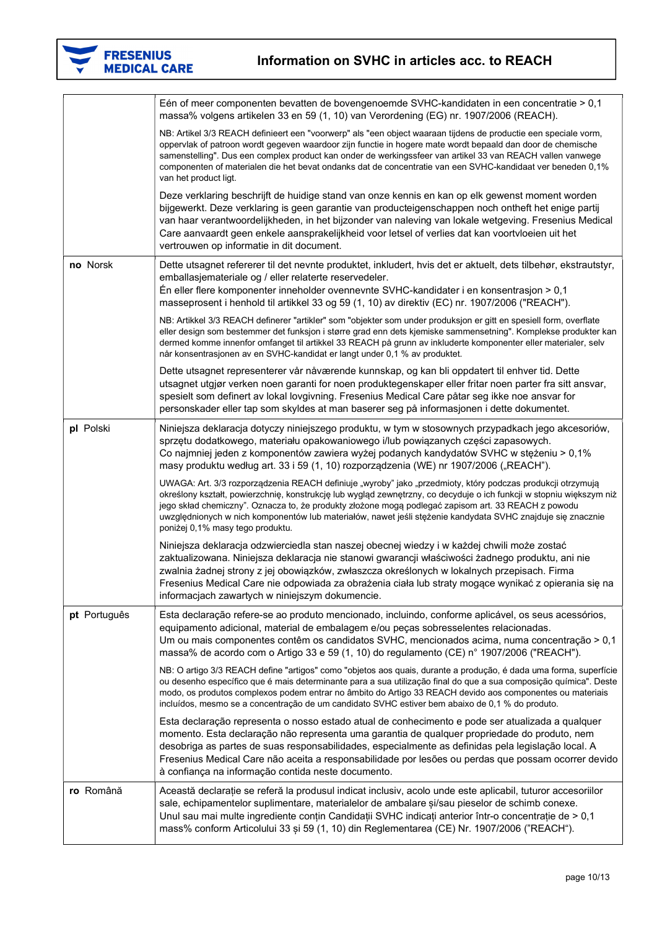

|              | Eén of meer componenten bevatten de bovengenoemde SVHC-kandidaten in een concentratie > 0,1<br>massa% volgens artikelen 33 en 59 (1, 10) van Verordening (EG) nr. 1907/2006 (REACH).                                                                                                                                                                                                                                                                                                          |
|--------------|-----------------------------------------------------------------------------------------------------------------------------------------------------------------------------------------------------------------------------------------------------------------------------------------------------------------------------------------------------------------------------------------------------------------------------------------------------------------------------------------------|
|              | NB: Artikel 3/3 REACH definieert een "voorwerp" als "een object waaraan tijdens de productie een speciale vorm,<br>oppervlak of patroon wordt gegeven waardoor zijn functie in hogere mate wordt bepaald dan door de chemische<br>samenstelling". Dus een complex product kan onder de werkingssfeer van artikel 33 van REACH vallen vanwege<br>componenten of materialen die het bevat ondanks dat de concentratie van een SVHC-kandidaat ver beneden 0,1%<br>van het product ligt.          |
|              | Deze verklaring beschrijft de huidige stand van onze kennis en kan op elk gewenst moment worden<br>bijgewerkt. Deze verklaring is geen garantie van producteigenschappen noch ontheft het enige partij<br>van haar verantwoordelijkheden, in het bijzonder van naleving van lokale wetgeving. Fresenius Medical<br>Care aanvaardt geen enkele aansprakelijkheid voor letsel of verlies dat kan voortvloeien uit het<br>vertrouwen op informatie in dit document.                              |
| no Norsk     | Dette utsagnet refererer til det nevnte produktet, inkludert, hvis det er aktuelt, dets tilbehør, ekstrautstyr,<br>emballasjemateriale og / eller relaterte reservedeler.<br>$En$ eller flere komponenter inneholder ovennevnte SVHC-kandidater i en konsentrasjon > 0,1<br>masseprosent i henhold til artikkel 33 og 59 (1, 10) av direktiv (EC) nr. 1907/2006 ("REACH").                                                                                                                    |
|              | NB: Artikkel 3/3 REACH definerer "artikler" som "objekter som under produksjon er gitt en spesiell form, overflate<br>eller design som bestemmer det funksjon i større grad enn dets kjemiske sammensetning". Komplekse produkter kan<br>dermed komme innenfor omfanget til artikkel 33 REACH på grunn av inkluderte komponenter eller materialer, selv<br>når konsentrasjonen av en SVHC-kandidat er langt under 0,1 % av produktet.                                                         |
|              | Dette utsagnet representerer vår nåværende kunnskap, og kan bli oppdatert til enhver tid. Dette<br>utsagnet utgjør verken noen garanti for noen produktegenskaper eller fritar noen parter fra sitt ansvar,<br>spesielt som definert av lokal lovgivning. Fresenius Medical Care påtar seg ikke noe ansvar for<br>personskader eller tap som skyldes at man baserer seg på informasjonen i dette dokumentet.                                                                                  |
| pl Polski    | Niniejsza deklaracja dotyczy niniejszego produktu, w tym w stosownych przypadkach jego akcesoriów,<br>sprzętu dodatkowego, materiału opakowaniowego i/lub powiązanych części zapasowych.<br>Co najmniej jeden z komponentów zawiera wyżej podanych kandydatów SVHC w stężeniu > 0,1%<br>masy produktu według art. 33 i 59 (1, 10) rozporządzenia (WE) nr 1907/2006 ("REACH").                                                                                                                 |
|              | UWAGA: Art. 3/3 rozporządzenia REACH definiuje "wyroby" jako "przedmioty, który podczas produkcji otrzymują<br>określony kształt, powierzchnię, konstrukcję lub wygląd zewnętrzny, co decyduje o ich funkcji w stopniu większym niż<br>jego skład chemiczny". Oznacza to, że produkty złożone mogą podlegać zapisom art. 33 REACH z powodu<br>uwzględnionych w nich komponentów lub materiałów, nawet jeśli stężenie kandydata SVHC znajduje się znacznie<br>poniżej 0,1% masy tego produktu. |
|              | Niniejsza deklaracja odzwierciedla stan naszej obecnej wiedzy i w każdej chwili może zostać<br>zaktualizowana. Niniejsza deklaracja nie stanowi gwarancji właściwości żadnego produktu, ani nie<br>zwalnia żadnej strony z jej obowiązków, zwłaszcza określonych w lokalnych przepisach. Firma<br>Fresenius Medical Care nie odpowiada za obrażenia ciała lub straty mogące wynikać z opierania się na<br>informacjach zawartych w niniejszym dokumencie.                                     |
| pt Português | Esta declaração refere-se ao produto mencionado, incluindo, conforme aplicável, os seus acessórios,<br>equipamento adicional, material de embalagem e/ou peças sobresselentes relacionadas.<br>Um ou mais componentes contêm os candidatos SVHC, mencionados acima, numa concentração > 0,1<br>massa% de acordo com o Artigo 33 e 59 (1, 10) do regulamento (CE) n° 1907/2006 ("REACH").                                                                                                      |
|              | NB: O artigo 3/3 REACH define "artigos" como "objetos aos quais, durante a produção, é dada uma forma, superfície<br>ou desenho específico que é mais determinante para a sua utilização final do que a sua composição química". Deste<br>modo, os produtos complexos podem entrar no âmbito do Artigo 33 REACH devido aos componentes ou materiais<br>incluídos, mesmo se a concentração de um candidato SVHC estiver bem abaixo de 0,1 % do produto.                                        |
|              | Esta declaração representa o nosso estado atual de conhecimento e pode ser atualizada a qualquer<br>momento. Esta declaração não representa uma garantia de qualquer propriedade do produto, nem<br>desobriga as partes de suas responsabilidades, especialmente as definidas pela legislação local. A<br>Fresenius Medical Care não aceita a responsabilidade por lesões ou perdas que possam ocorrer devido<br>à confiança na informação contida neste documento.                           |
| ro Română    | Această declarație se referă la produsul indicat inclusiv, acolo unde este aplicabil, tuturor accesoriilor<br>sale, echipamentelor suplimentare, materialelor de ambalare și/sau pieselor de schimb conexe.<br>Unul sau mai multe ingrediente conțin Candidații SVHC indicați anterior într-o concentrație de > 0,1<br>mass% conform Articolului 33 și 59 (1, 10) din Reglementarea (CE) Nr. 1907/2006 ("REACH").                                                                             |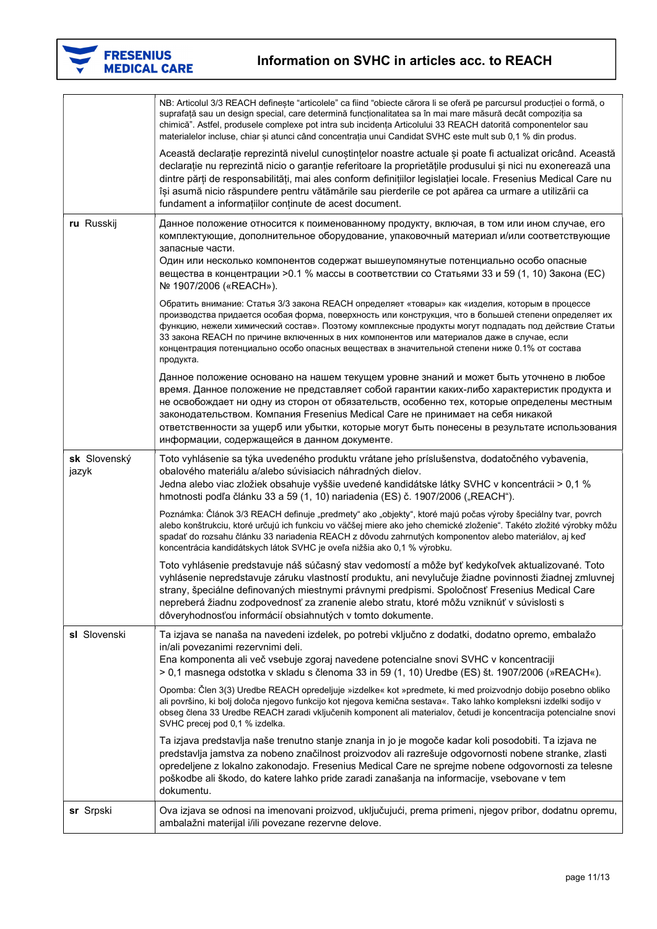

|                       | NB: Articolul 3/3 REACH definește "articolele" ca fiind "obiecte cărora li se oferă pe parcursul producției o formă, o<br>suprafață sau un design special, care determină funcționalitatea sa în mai mare măsură decât compoziția sa<br>chimică". Astfel, produsele complexe pot intra sub incidența Articolului 33 REACH datorită componentelor sau<br>materialelor incluse, chiar și atunci când concentrația unui Candidat SVHC este mult sub 0,1 % din produs.                                                           |
|-----------------------|------------------------------------------------------------------------------------------------------------------------------------------------------------------------------------------------------------------------------------------------------------------------------------------------------------------------------------------------------------------------------------------------------------------------------------------------------------------------------------------------------------------------------|
|                       | Această declarație reprezintă nivelul cunoștințelor noastre actuale și poate fi actualizat oricând. Această<br>declarație nu reprezintă nicio o garanție referitoare la proprietățile produsului și nici nu exonerează una<br>dintre părți de responsabilități, mai ales conform definițiilor legislației locale. Fresenius Medical Care nu<br>își asumă nicio răspundere pentru vătămările sau pierderile ce pot apărea ca urmare a utilizării ca<br>fundament a informațiilor conținute de acest document.                 |
| ru Russkij            | Данное положение относится к поименованному продукту, включая, в том или ином случае, его<br>комплектующие, дополнительное оборудование, упаковочный материал и/или соответствующие<br>запасные части.                                                                                                                                                                                                                                                                                                                       |
|                       | Один или несколько компонентов содержат вышеупомянутые потенциально особо опасные<br>вещества в концентрации >0.1 % массы в соответствии со Статьями 33 и 59 (1, 10) Закона (EC)<br>№ 1907/2006 («REACH»).                                                                                                                                                                                                                                                                                                                   |
|                       | Обратить внимание: Статья 3/3 закона REACH определяет «товары» как «изделия, которым в процессе<br>производства придается особая форма, поверхность или конструкция, что в большей степени определяет их<br>функцию, нежели химический состав». Поэтому комплексные продукты могут подпадать под действие Статьи<br>33 закона REACH по причине включенных в них компонентов или материалов даже в случае, если<br>концентрация потенциально особо опасных веществах в значительной степени ниже 0.1% от состава<br>продукта. |
|                       | Данное положение основано на нашем текущем уровне знаний и может быть уточнено в любое<br>время. Данное положение не представляет собой гарантии каких-либо характеристик продукта и<br>не освобождает ни одну из сторон от обязательств, особенно тех, которые определены местным<br>законодательством. Компания Fresenius Medical Care не принимает на себя никакой<br>ответственности за ущерб или убытки, которые могут быть понесены в результате использования<br>информации, содержащейся в данном документе.         |
| sk Slovenský<br>jazyk | Toto vyhlásenie sa týka uvedeného produktu vrátane jeho príslušenstva, dodatočného vybavenia,<br>obalového materiálu a/alebo súvisiacich náhradných dielov.<br>Jedna alebo viac zložiek obsahuje vyššie uvedené kandidátske látky SVHC v koncentrácii > 0,1 %<br>hmotnosti podľa článku 33 a 59 (1, 10) nariadenia (ES) č. 1907/2006 ("REACH").                                                                                                                                                                              |
|                       | Poznámka: Článok 3/3 REACH definuje "predmety" ako "objekty", ktoré majú počas výroby špeciálny tvar, povrch<br>alebo konštrukciu, ktoré určujú ich funkciu vo väčšej miere ako jeho chemické zloženie". Takéto zložité výrobky môžu<br>spadať do rozsahu článku 33 nariadenia REACH z dôvodu zahrnutých komponentov alebo materiálov, aj keď<br>koncentrácia kandidátskych látok SVHC je oveľa nižšia ako 0,1 % výrobku.                                                                                                    |
|                       | Toto vyhlásenie predstavuje náš súčasný stav vedomostí a môže byť kedykoľvek aktualizované. Toto<br>vyhlásenie nepredstavuje záruku vlastností produktu, ani nevylučuje žiadne povinnosti žiadnej zmluvnej<br>strany, špeciálne definovaných miestnymi právnymi predpismi. Spoločnosť Fresenius Medical Care<br>nepreberá žiadnu zodpovednosť za zranenie alebo stratu, ktoré môžu vzniknúť v súvislosti s<br>dôveryhodnosťou informácií obsiahnutých v tomto dokumente.                                                     |
| sl Slovenski          | Ta izjava se nanaša na navedeni izdelek, po potrebi vključno z dodatki, dodatno opremo, embalažo<br>in/ali povezanimi rezervnimi deli.<br>Ena komponenta ali več vsebuje zgoraj navedene potencialne snovi SVHC v koncentraciji<br>> 0,1 masnega odstotka v skladu s členoma 33 in 59 (1, 10) Uredbe (ES) št. 1907/2006 (»REACH«).                                                                                                                                                                                           |
|                       | Opomba: Člen 3(3) Uredbe REACH opredeljuje »izdelke« kot »predmete, ki med proizvodnjo dobijo posebno obliko<br>ali površino, ki bolj določa njegovo funkcijo kot njegova kemična sestava«. Tako lahko kompleksni izdelki sodijo v<br>obseg člena 33 Uredbe REACH zaradi vključenih komponent ali materialov, četudi je koncentracija potencialne snovi<br>SVHC precej pod 0,1 % izdelka.                                                                                                                                    |
|                       | Ta izjava predstavlja naše trenutno stanje znanja in jo je mogoče kadar koli posodobiti. Ta izjava ne<br>predstavlja jamstva za nobeno značilnost proizvodov ali razrešuje odgovornosti nobene stranke, zlasti<br>opredeljene z lokalno zakonodajo. Fresenius Medical Care ne sprejme nobene odgovornosti za telesne<br>poškodbe ali škodo, do katere lahko pride zaradi zanašanja na informacije, vsebovane v tem<br>dokumentu.                                                                                             |
| sr Srpski             | Ova izjava se odnosi na imenovani proizvod, uključujući, prema primeni, njegov pribor, dodatnu opremu,<br>ambalažni materijal i/ili povezane rezervne delove.                                                                                                                                                                                                                                                                                                                                                                |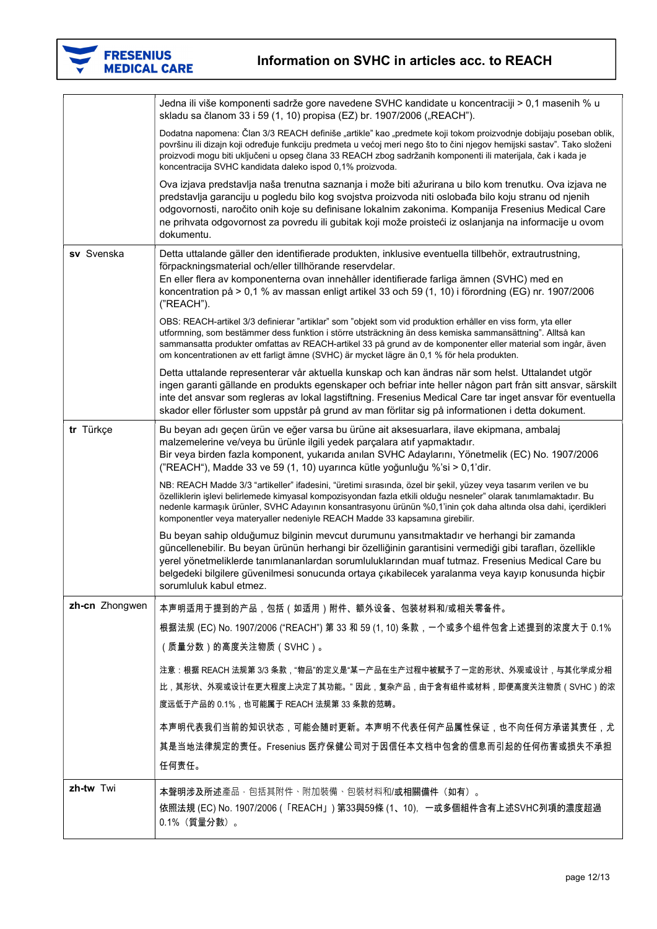

|                | Jedna ili više komponenti sadrže gore navedene SVHC kandidate u koncentraciji > 0,1 masenih % u<br>skladu sa članom 33 i 59 (1, 10) propisa (EZ) br. 1907/2006 ("REACH").                                                                                                                                                                                                                                                                    |
|----------------|----------------------------------------------------------------------------------------------------------------------------------------------------------------------------------------------------------------------------------------------------------------------------------------------------------------------------------------------------------------------------------------------------------------------------------------------|
|                | Dodatna napomena: Član 3/3 REACH definiše "artikle" kao "predmete koji tokom proizvodnje dobijaju poseban oblik,<br>površinu ili dizajn koji određuje funkciju predmeta u većoj meri nego što to čini njegov hemijski sastav". Tako složeni<br>proizvodi mogu biti uključeni u opseg člana 33 REACH zbog sadržanih komponenti ili materijala, čak i kada je<br>koncentracija SVHC kandidata daleko ispod 0,1% proizvoda.                     |
|                | Ova izjava predstavlja naša trenutna saznanja i može biti ažurirana u bilo kom trenutku. Ova izjava ne<br>predstavlja garanciju u pogledu bilo kog svojstva proizvoda niti oslobađa bilo koju stranu od njenih<br>odgovornosti, naročito onih koje su definisane lokalnim zakonima. Kompanija Fresenius Medical Care<br>ne prihvata odgovornost za povredu ili gubitak koji može proisteći iz oslanjanja na informacije u ovom<br>dokumentu. |
| sv Svenska     | Detta uttalande gäller den identifierade produkten, inklusive eventuella tillbehör, extrautrustning,<br>förpackningsmaterial och/eller tillhörande reservdelar.<br>En eller flera av komponenterna ovan innehåller identifierade farliga ämnen (SVHC) med en<br>koncentration på > 0,1 % av massan enligt artikel 33 och 59 (1, 10) i förordning (EG) nr. 1907/2006<br>("REACH").                                                            |
|                | OBS: REACH-artikel 3/3 definierar "artiklar" som "objekt som vid produktion erhåller en viss form, yta eller<br>utformning, som bestämmer dess funktion i större utsträckning än dess kemiska sammansättning". Alltså kan<br>sammansatta produkter omfattas av REACH-artikel 33 på grund av de komponenter eller material som ingår, även<br>om koncentrationen av ett farligt ämne (SVHC) är mycket lägre än 0,1 % för hela produkten.      |
|                | Detta uttalande representerar vår aktuella kunskap och kan ändras när som helst. Uttalandet utgör<br>ingen garanti gällande en produkts egenskaper och befriar inte heller någon part från sitt ansvar, särskilt<br>inte det ansvar som regleras av lokal lagstiftning. Fresenius Medical Care tar inget ansvar för eventuella<br>skador eller förluster som uppstår på grund av man förlitar sig på informationen i detta dokument.         |
| tr Türkçe      | Bu beyan adı geçen ürün ve eğer varsa bu ürüne ait aksesuarlara, ilave ekipmana, ambalaj<br>malzemelerine ve/veya bu ürünle ilgili yedek parçalara atıf yapmaktadır.<br>Bir veya birden fazla komponent, yukarıda anılan SVHC Adaylarını, Yönetmelik (EC) No. 1907/2006<br>("REACH"), Madde 33 ve 59 (1, 10) uyarınca kütle yoğunluğu %'si > 0,1'dir.                                                                                        |
|                | NB: REACH Madde 3/3 "artikeller" ifadesini, "üretimi sırasında, özel bir şekil, yüzey veya tasarım verilen ve bu<br>özelliklerin işlevi belirlemede kimyasal kompozisyondan fazla etkili olduğu nesneler" olarak tanımlamaktadır. Bu<br>nedenle karmaşık ürünler, SVHC Adayının konsantrasyonu ürünün %0,1'inin çok daha altında olsa dahi, içerdikleri<br>komponentler veya materyaller nedeniyle REACH Madde 33 kapsamına girebilir.       |
|                | Bu beyan sahip olduğumuz bilginin mevcut durumunu yansıtmaktadır ve herhangi bir zamanda<br>güncellenebilir. Bu beyan ürünün herhangi bir özelliğinin garantisini vermediği gibi tarafları, özellikle<br>yerel yönetmeliklerde tanımlananlardan sorumluluklarından muaf tutmaz. Fresenius Medical Care bu<br>belgedeki bilgilere güvenilmesi sonucunda ortaya çıkabilecek yaralanma veya kayıp konusunda hiçbir<br>sorumluluk kabul etmez.   |
| zh-cn Zhongwen | 本声明适用于提到的产品,包括(如适用)附件、额外设备、包装材料和/或相关零备件。                                                                                                                                                                                                                                                                                                                                                                                                     |
|                | 根据法规 (EC) No. 1907/2006 ("REACH") 第 33 和 59 (1, 10) 条款,一个或多个组件包含上述提到的浓度大于 0.1%                                                                                                                                                                                                                                                                                                                                                               |
|                | (质量分数)的高度关注物质(SVHC)。                                                                                                                                                                                                                                                                                                                                                                                                                         |
|                | 注意:根据 REACH 法规第 3/3 条款,"物品"的定义是"某一产品在生产过程中被赋予了一定的形状、外观或设计,与其化学成分相<br>比,其形状、外观或设计在更大程度上决定了其功能。" 因此,复杂产品,由于含有组件或材料,即便高度关注物质(SVHC)的浓<br>度远低于产品的 0.1%,也可能属于 REACH 法规第 33 条款的范畴。                                                                                                                                                                                                                                                                  |
|                | 本声明代表我们当前的知识状态,可能会随时更新。本声明不代表任何产品属性保证,也不向任何方承诺其责任,尤<br>其是当地法律规定的责任。Fresenius 医疗保健公司对于因信任本文档中包含的信息而引起的任何伤害或损失不承担<br>任何责任。                                                                                                                                                                                                                                                                                                                     |
| zh-tw Twi      | 本聲明涉及所述產品,包括其附件、附加裝備、包裝材料和/或相關備件(如有)。<br>依照法規 (EC) No. 1907/2006(「REACH」) 第33與59條 (1、10),一或多個組件含有上述SVHC列項的濃度超過<br>0.1% (質量分數)。                                                                                                                                                                                                                                                                                                               |